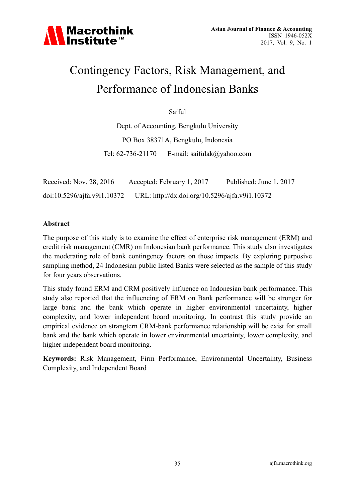# Contingency Factors, Risk Management, and Performance of Indonesian Banks

Saiful

Dept. of Accounting, Bengkulu University PO Box 38371A, Bengkulu, Indonesia Tel: 62-736-21170 E-mail: saifulak@yahoo.com

| Received: Nov. 28, 2016          | Accepted: February 1, 2017                     | Published: June 1, 2017 |
|----------------------------------|------------------------------------------------|-------------------------|
| $doi:10.5296/a$ if a. v9i1.10372 | URL: http://dx.doi.org/10.5296/ajfa.v9i1.10372 |                         |

#### **Abstract**

The purpose of this study is to examine the effect of enterprise risk management (ERM) and credit risk management (CMR) on Indonesian bank performance. This study also investigates the moderating role of bank contingency factors on those impacts. By exploring purposive sampling method, 24 Indonesian public listed Banks were selected as the sample of this study for four years observations.

This study found ERM and CRM positively influence on Indonesian bank performance. This study also reported that the influencing of ERM on Bank performance will be stronger for large bank and the bank which operate in higher environmental uncertainty, higher complexity, and lower independent board monitoring. In contrast this study provide an empirical evidence on strangtern CRM-bank performance relationship will be exist for small bank and the bank which operate in lower environmental uncertainty, lower complexity, and higher independent board monitoring.

**Keywords:** Risk Management, Firm Performance, Environmental Uncertainty, Business Complexity, and Independent Board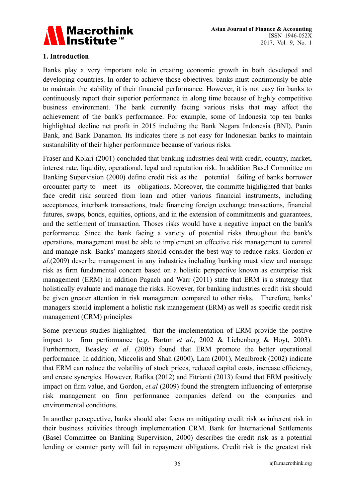

## **1. Introduction**

Banks play a very important role in creating economic growth in both developed and developing countries. In order to achieve those objectives. banks must continuously be able to maintain the stability of their financial performance. However, it is not easy for banks to continuously report their superior performance in along time because of highly competitive business environment. The bank currently facing various risks that may affect the achievement of the bank's performance. For example, some of Indonesia top ten banks highlighted decline net profit in 2015 including the Bank Negara Indonesia (BNI), Panin Bank, and Bank Danamon. Its indicates there is not easy for Indonesian banks to maintain sustanability of their higher performance because of various risks.

Fraser and Kolari (2001) concluded that banking industries deal with credit, country, market, interest rate, liquidity, operational, legal and reputation risk. In addition Basel Committee on Banking Supervision (2000) define credit risk as the potential failing of banks borrower orcounter party to meet its obligations. Moreover, the committe highlighted that banks face credit risk sourced from loan and other various financial instruments, including acceptances, interbank transactions, trade financing foreign exchange transactions, financial futures, swaps, bonds, equities, options, and in the extension of commitments and guarantees, and the settlement of transaction. Thoses risks would have a negative impact on the bank's performance. Since the bank facing a variety of potential risks throughout the bank's operations, management must be able to implement an effective risk management to control and manage risk. Banks' managers should consider the best way to reduce risks. Gordon *et al*.(2009) describe management in any industries including banking must view and manage risk as firm fundamental concern based on a holistic perspective known as enterprise risk management (ERM) in addition Pagach and Warr (2011) state that ERM is a strategy that holistically evaluate and manage the risks. However, for banking industries credit risk should be given greater attention in risk management compared to other risks. Therefore, banks' managers should implement a holistic risk management (ERM) as well as specific credit risk management (CRM) principles

Some previous studies highlighted that the implementation of ERM provide the postive impact to firm performance (e.g. Barton *et al*., 2002 & Liebenberg & Hoyt, 2003). Furthermore, Beasley *et al*. (2005) found that ERM promote the better operational performance. In addition, Miccolis and Shah (2000), Lam (2001), Meulbroek (2002) indicate that ERM can reduce the volatility of stock prices, reduced capital costs, increase efficiency, and create synergies. However, Rafika (2012) and Fitrianti (2013) found that ERM positively impact on firm value, and Gordon, *et.al* (2009) found the strengtern influencing of enterprise risk management on firm performance companies defend on the companies and environmental conditions.

In another persepective, banks should also focus on mitigating credit risk as inherent risk in their business activities through implementation CRM. Bank for International Settlements (Basel Committee on Banking Supervision, 2000) describes the credit risk as a potential lending or counter party will fail in repayment obligations. Credit risk is the greatest risk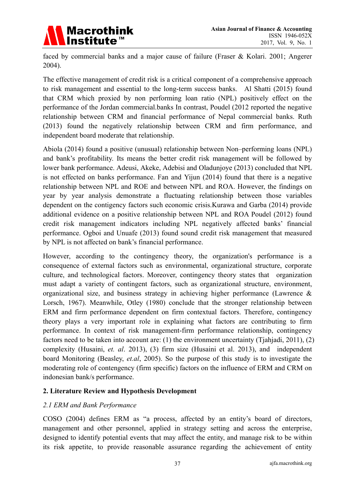

faced by commercial banks and a major cause of failure (Fraser & Kolari. 2001; Angerer 2004).

The effective management of credit risk is a critical component of a comprehensive approach to risk management and essential to the long-term success banks. Al Shatti (2015) found that CRM which proxied by non performing loan ratio (NPL) positively effect on the performance of the Jordan commercial.banks In contrast, Poudel (2012 reported the negative relationship between CRM and financial performance of Nepal commercial banks. Ruth (2013) found the negatively relationship between CRM and firm performance, and independent board moderate that relationship.

Abiola (2014) found a positive (unusual) relationship between Non–performing loans (NPL) and bank's profitability. Its means the better credit risk management will be followed by lower bank performance. Adeusi, Akeke, Adebisi and Oladunjoye (2013) concluded that NPL is not effected on banks performance. Fan and Yijun (2014) found that there is a negative relationship between NPL and ROE and between NPL and ROA. However, the findings on year by year analysis demonstrate a fluctuating relationship between those variables dependent on the contigency factors such economic crisis.Kurawa and Garba (2014) provide additional evidence on a positive relationship between NPL and ROA Poudel (2012) found credit risk management indicators including NPL negatively affected banks' financial performance. Ogboi and Unuafe (2013) found sound credit risk management that measured by NPL is not affected on bank's financial performance.

However, according to the contingency theory, the organization's performance is a consequence of external factors such as environmental, organizational structure, corporate culture, and technological factors. Moreover, contingency theory states that organization must adapt a variety of contingent factors, such as organizational structure, environment, organizational size, and business strategy in achieving higher performance (Lawrence & Lorsch, 1967). Meanwhile, Otley (1980) conclude that the stronger relationship between ERM and firm performance dependent on firm contextual factors. Therefore, contingency theory plays a very important role in explaining what factors are contributing to firm performance. In context of risk management-firm performance relationship, contingency factors need to be taken into account are: (1) the environment uncertainty (Tjahjadi, 2011), (2) complexity (Husaini, *et. al*. 2013), (3) firm size (Husaini et al. 2013), and independent board Monitoring (Beasley, *et.al*, 2005). So the purpose of this study is to investigate the moderating role of contengency (firm specific) factors on the influence of ERM and CRM on indonesian bank/s performance.

#### **2. Literature Review and Hypothesis Development**

#### *2.1 ERM and Bank Performance*

COSO (2004) defines ERM as "a process, affected by an entity's board of directors, management and other personnel, applied in strategy setting and across the enterprise, designed to identify potential events that may affect the entity, and manage risk to be within its risk appetite, to provide reasonable assurance regarding the achievement of entity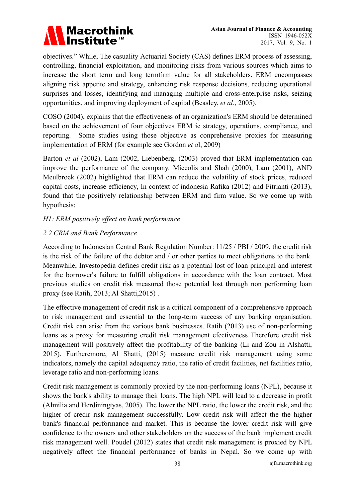

objectives." While, The casuality Actuarial Society (CAS) defines ERM process of assessing, controlling, financial exploitation, and monitoring risks from various sources which aims to increase the short term and long termfirm value for all stakeholders. ERM encompasses aligning risk appetite and strategy, enhancing risk response decisions, reducing operational surprises and losses, identifying and managing multiple and cross-enterprise risks, seizing opportunities, and improving deployment of capital (Beasley, *et al*., 2005).

COSO (2004), explains that the effectiveness of an organization's ERM should be determined based on the achievement of four objectives ERM ie strategy, operations, compliance, and reporting. Some studies using those objective as conprehensive proxies for measuring implementation of ERM (for example see Gordon *et a*l, 2009)

Barton *et al* (2002), Lam (2002, Liebenberg, (2003) proved that ERM implementation can improve the performance of the company. Miccolis and Shah (2000), Lam (2001), AND Meulbroek (2002) highlighted that ERM can reduce the volatility of stock prices, reduced capital costs, increase efficiency, In context of indonesia Rafika (2012) and Fitrianti (2013), found that the positively relationship between ERM and firm value. So we come up with hypothesis:

## *H1: ERM positively effect on bank performance*

#### *2.2 CRM and Bank Performance*

According to Indonesian Central Bank Regulation Number: 11/25 / PBI / 2009, the credit risk is the risk of the failure of the debtor and / or other parties to meet obligations to the bank. Meanwhile, Investopedia defines credit risk as a potential lost of loan principal and interest for the borrower's failure to fulfill obligations in accordance with the loan contract. Most previous studies on credit risk measured those potential lost through non performing loan proxy (see Ratih, 2013; Al Shatti,2015) .

The effective management of credit risk is a critical component of a comprehensive approach to risk management and essential to the long-term success of any banking organisation. Credit risk can arise from the various bank businesses. Ratih (2013) use of non-performing loans as a proxy for measuring credit risk management efectiveness Therefore credit risk management will positively affect the profitability of the banking (Li and Zou in Alshatti, 2015). Furtheremore, Al Shatti, (2015) measure credit risk management using some indicators, namely the capital adequency ratio, the ratio of credit facilities, net facilities ratio, leverage ratio and non-performing loans.

Credit risk management is commonly proxied by the non-performing loans (NPL), because it shows the bank's ability to manage their loans. The high NPL will lead to a decrease in profit (Almilia and Herdiningtyas, 2005). The lower the NPL ratio, the lower the credit risk, and the higher of credir risk management successfully. Low credit risk will affect the the higher bank's financial performance and market. This is because the lower credit risk will give confidence to the owners and other stakeholders on the success of the bank implement credit risk management well. Poudel (2012) states that credit risk management is proxied by NPL negatively affect the financial performance of banks in Nepal. So we come up with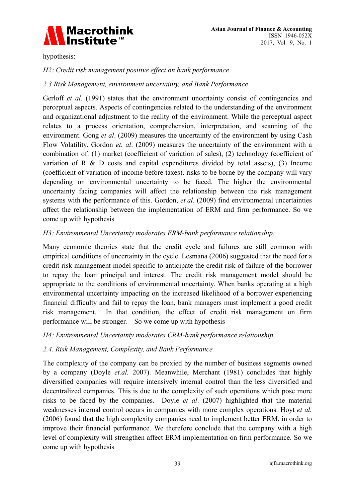

hypothesis:

#### *H2: Credit risk management positive effect on bank performance*

#### *2.3 Risk Management, environment uncertainty, and Bank Performance*

Gerloff *et al.* (1991) states that the environment uncertainty consist of contingencies and perceptual aspects. Aspects of contingencies related to the understanding of the environment and organizational adjustment to the reality of the environment. While the perceptual aspect relates to a process orientation, comprehension, interpretation, and scanning of the environment. Gong *et al*. (2009) measures the uncertainty of the environment by using Cash Flow Volatility. Gordon *et. al*. (2009) measures the uncertainty of the environment with a combination of: (1) market (coefficient of variation of sales), (2) technology (coefficient of variation of R & D costs and capital expenditures divided by total assets), (3) Income (coefficient of variation of income before taxes). risks to be borne by the company will vary depending on environmental uncertainty to be faced. The higher the environmental uncertainty facing companies will affect the relationship between the risk management systems with the performance of this. Gordon, *et.al*. (2009) find environmental uncertainties affect the relationship between the implementation of ERM and firm performance. So we come up with hypothesis

#### *H3: Environmental Uncertainty moderates ERM-bank performance relationship.*

Many economic theories state that the credit cycle and failures are still common with empirical conditions of uncertainty in the cycle. Lesmana (2006) suggested that the need for a credit risk management model specific to anticipate the credit risk of failure of the borrower to repay the loan principal and interest. The credit risk management model should be appropriate to the conditions of environmental uncertainty. When banks operating at a high environmental uncertainty impacting on the increased likelihood of a borrower experiencing financial difficulty and fail to repay the loan, bank managers must implement a good credit risk management. In that condition, the effect of credit risk management on firm performance will be stronger. So we come up with hypothesis

#### *H4: Environmental Uncertainty moderates CRM-bank performance relationship*.

#### *2.4. Risk Management, Complexity, and Bank Performance*

The complexity of the company can be proxied by the number of business segments owned by a company (Doyle *et.al.* 2007). Meanwhile, Merchant (1981) concludes that highly diversified companies will require intensively internal control than the less diversified and decentralized companies. This is due to the complexity of such operations which pose more risks to be faced by the companies. Doyle *et al*. (2007) highlighted that the material weaknesses internal control occurs in companies with more complex operations. Hoyt *et al.* (2006) found that the high complexity companies need to implement better ERM, in order to improve their financial performance. We therefore conclude that the company with a high level of complexity will strengthen affect ERM implementation on firm performance. So we come up with hypothesis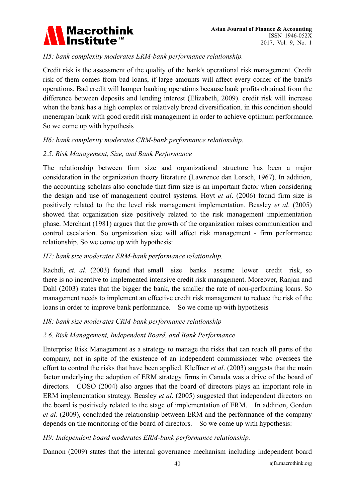

# *H5: bank complexity moderates ERM-bank performance relationship.*

Credit risk is the assessment of the quality of the bank's operational risk management. Credit risk of them comes from bad loans, if large amounts will affect every corner of the bank's operations. Bad credit will hamper banking operations because bank profits obtained from the difference between deposits and lending interest (Elizabeth, 2009). credit risk will increase when the bank has a high complex or relatively broad diversification. in this condition should menerapan bank with good credit risk management in order to achieve optimum performance. So we come up with hypothesis

## *H6: bank complexity moderates CRM-bank performance relationship.*

## *2.5. Risk Management, Size, and Bank Performance*

The relationship between firm size and organizational structure has been a major consideration in the organization theory literature (Lawrence dan Lorsch, 1967). In addition, the accounting scholars also conclude that firm size is an important factor when considering the design and use of management control systems. Hoyt *et al*. (2006) found firm size is positively related to the the level risk management implementation. Beasley *et al*. (2005) showed that organization size positively related to the risk management implementation phase. Merchant (1981) argues that the growth of the organization raises communication and control escalation. So organization size will affect risk management - firm performance relationship. So we come up with hypothesis:

#### *H7: bank size moderates ERM-bank performance relationship.*

Rachdi, *et. al*. (2003) found that small size banks assume lower credit risk, so there is no incentive to implemented intensive credit risk management. Moreover, Ranjan and Dahl (2003) states that the bigger the bank, the smaller the rate of non-performing loans. So management needs to implement an effective credit risk management to reduce the risk of the loans in order to improve bank performance. So we come up with hypothesis

#### *H8: bank size moderates CRM-bank performance relationship*

# *2.6. Risk Management, Independent Board, and Bank Performance*

Enterprise Risk Management as a strategy to manage the risks that can reach all parts of the company, not in spite of the existence of an independent commissioner who oversees the effort to control the risks that have been applied. Kleffner *et al*. (2003) suggests that the main factor underlying the adoption of ERM strategy firms in Canada was a drive of the board of directors. COSO (2004) also argues that the board of directors plays an important role in ERM implementation strategy. Beasley *et al*. (2005) suggested that independent directors on the board is positively related to the stage of implementation of ERM. In addition, Gordon *et al*. (2009), concluded the relationship between ERM and the performance of the company depends on the monitoring of the board of directors. So we come up with hypothesis:

#### *H9: Independent board moderates ERM-bank performance relationship.*

Dannon (2009) states that the internal governance mechanism including independent board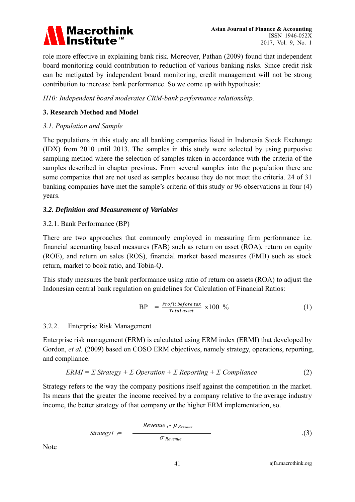

role more effective in explaining bank risk. Moreover, Pathan (2009) found that independent board monitoring could contribution to reduction of various banking risks. Since credit risk can be metigated by independent board monitoring, credit management will not be strong contribution to increase bank performance. So we come up with hypothesis:

*H10: Independent board moderates CRM-bank performance relationship.*

## **3. Research Method and Model**

#### *3.1. Population and Sample*

The populations in this study are all banking companies listed in Indonesia Stock Exchange (IDX) from 2010 until 2013. The samples in this study were selected by using purposive sampling method where the selection of samples taken in accordance with the criteria of the samples described in chapter previous. From several samples into the population there are some companies that are not used as samples because they do not meet the criteria. 24 of 31 banking companies have met the sample's criteria of this study or 96 observations in four (4) years.

## *3.2. Definition and Measurement of Variables*

## 3.2.1. Bank Performance (BP)

There are two approaches that commonly employed in measuring firm performance i.e. financial accounting based measures (FAB) such as return on asset (ROA), return on equity (ROE), and return on sales (ROS), financial market based measures (FMB) such as stock return, market to book ratio, and Tobin-Q.

This study measures the bank performance using ratio of return on assets (ROA) to adjust the Indonesian central bank regulation on guidelines for Calculation of Financial Ratios:

$$
BP = \frac{Profit\ before\ tax}{Total\ asset} \ x100\ \% \tag{1}
$$

#### 3.2.2. Enterprise Risk Management

Enterprise risk management (ERM) is calculated using ERM index (ERMI) that developed by Gordon, *et al.* (2009) based on COSO ERM objectives, namely strategy, operations, reporting, and compliance.

$$
ERMI = \Sigma \, Strategy + \Sigma \, Operation + \Sigma \, Reporting + \Sigma \, Compliance \tag{2}
$$

Strategy refers to the way the company positions itself against the competition in the market. Its means that the greater the income received by a company relative to the average industry income, the better strategy of that company or the higher ERM implementation, so.

$$
Strategy1_{i} = \frac{Review_{i} - \mu_{ Revenue}}{\sigma_{ Revenue}}
$$
 (3)

Note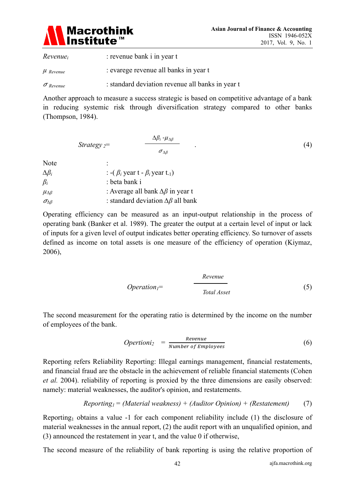

*Revenuei* : revenue bank i in year t *µ Revenue* : evarege revenue all banks in year t

<sup>ߪ</sup> *Revenue* : standard deviation revenue all banks in year t

Another approach to measure a success strategic is based on competitive advantage of a bank in reducing systemic risk through diversification strategy compared to other banks (Thompson, 1984).

$$
Strategy = \frac{\Delta \beta_i - \mu_{\Delta \beta}}{\sigma_{\Delta \beta}} \tag{4}
$$

Note :

| . <del>.</del>         |                                                          |
|------------------------|----------------------------------------------------------|
| $\Delta \beta_i$       | : -( $\beta_i$ year t - $\beta_i$ year t <sub>-1</sub> ) |
| $\beta_i$              | : beta bank i                                            |
| $\mu_{\Delta\beta}$    | : Average all bank $\Delta \beta$ in year t              |
| $\sigma_{\Delta\beta}$ | : standard deviation $\Delta \beta$ all bank             |
|                        |                                                          |

Operating efficiency can be measured as an input-output relationship in the process of operating bank (Banker et al. 1989). The greater the output at a certain level of input or lack of inputs for a given level of output indicates better operating efficiency. So turnover of assets defined as income on total assets is one measure of the efficiency of operation (Kiymaz, 2006),

$$
Operation_{I} = \frac{Review}{Total\text{ } Asset}
$$
 (5)

The second measurement for the operating ratio is determined by the income on the number of employees of the bank.

*Operationi*<sub>2</sub> = 
$$
\frac{Revenue}{Number of \,Employees}
$$
 (6)

Reporting refers Reliability Reporting: Illegal earnings management, financial restatements, and financial fraud are the obstacle in the achievement of reliable financial statements (Cohen *et al.* 2004). reliability of reporting is proxied by the three dimensions are easily observed: namely: material weaknesses, the auditor's opinion, and restatements.

*Reporting1 = (Material weakness) + (Auditor Opinion) + (Restatement)* (7)

Reporting<sub>1</sub> obtains a value -1 for each component reliability include (1) the disclosure of material weaknesses in the annual report, (2) the audit report with an unqualified opinion, and (3) announced the restatement in year t, and the value 0 if otherwise,

The second measure of the reliability of bank reporting is using the relative proportion of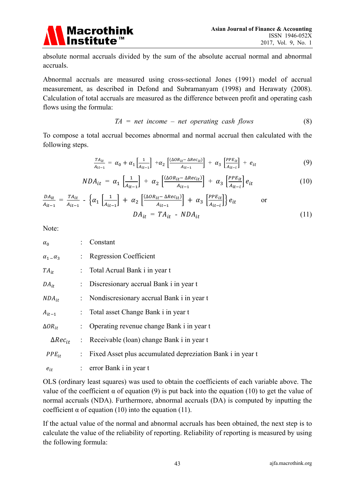

absolute normal accruals divided by the sum of the absolute accrual normal and abnormal accruals.

Abnormal accruals are measured using cross-sectional Jones (1991) model of accrual measurement, as described in Defond and Subramanyam (1998) and Herawaty (2008). Calculation of total accruals are measured as the difference between profit and operating cash flows using the formula:

$$
TA = net income - net operating cash flows
$$
\n
$$
(8)
$$

To compose a total accrual becomes abnormal and normal accrual then calculated with the following steps.

$$
\frac{TA_{it}}{A_{it-1}} = \alpha_0 + \alpha_1 \left[ \frac{1}{A_{it-1}} \right] + \alpha_2 \left[ \frac{(\Delta OR_{it} - \Delta Rec_{it})}{A_{it-1}} \right] + \alpha_3 \left[ \frac{PPE_{it}}{A_{it-i}} \right] + e_{it}
$$
(9)

$$
NDA_{it} = \alpha_1 \left[ \frac{1}{A_{it-1}} \right] + \alpha_2 \left[ \frac{(\Delta OR_{it} - \Delta Rec_{it})}{A_{it-1}} \right] + \alpha_3 \left[ \frac{PPE_{it}}{A_{it-i}} \right] e_{it}
$$
(10)

$$
\frac{DA_{it}}{A_{it-1}} = \frac{TA_{it}}{A_{it-1}} - \left\{ \alpha_1 \left[ \frac{1}{A_{it-1}} \right] + \alpha_2 \left[ \frac{(\Delta OR_{it} - \Delta Rec_{it})}{A_{it-1}} \right] + \alpha_3 \left[ \frac{PPE_{it}}{A_{it-i}} \right] \right\} e_{it}
$$
 or  

$$
DA_{it} = TA_{it} - NDA_{it}
$$
 (11)

Note:

| $\alpha_0$                | : Constant                                                   |
|---------------------------|--------------------------------------------------------------|
| $\alpha_1$ – $\alpha_3$   | : Regression Coefficient                                     |
| $TA_{it}$                 | : Total Acrual Bank i in year t                              |
| $DA_{it}$                 | : Discresionary accrual Bank i in year t                     |
| $NDA_{it}$                | : Nondiscresionary accrual Bank i in year t                  |
| $A_{it-1}$                | : Total asset Change Bank i in year t                        |
| $\Delta$ OR <sub>it</sub> | : Operating revenue change Bank i in year t                  |
| $\Delta Rec_{it}$         | : Receivable (loan) change Bank i in year t                  |
| $PPE_{it}$                | : Fixed Asset plus accumulated depreziation Bank i in year t |
| $e_{it}$                  | $:$ error Bank i in year t                                   |
|                           |                                                              |

OLS (ordinary least squares) was used to obtain the coefficients of each variable above. The value of the coefficient  $\alpha$  of equation (9) is put back into the equation (10) to get the value of normal accruals (NDA). Furthermore, abnormal accruals (DA) is computed by inputting the coefficient  $\alpha$  of equation (10) into the equation (11).

If the actual value of the normal and abnormal accruals has been obtained, the next step is to calculate the value of the reliability of reporting. Reliability of reporting is measured by using the following formula: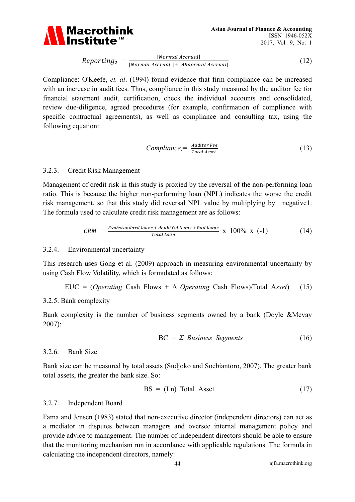

 $Reporting_2 = \frac{|\text{Normal Actual.}}{|\text{Normal Accrual}| + |\text{Abnormal Accrual}|}$ |Normal Accrual| (12)

Compliance: O'Keefe, *et. al*. (1994) found evidence that firm compliance can be increased with an increase in audit fees. Thus, compliance in this study measured by the auditor fee for financial statement audit, certification, check the individual accounts and consolidated, review due-diligence, agreed procedures (for example, confirmation of compliance with specific contractual agreements), as well as compliance and consulting tax, using the following equation:

$$
Compliance_I = \frac{Auditor\,Fee}{Total\,Asset} \tag{13}
$$

#### 3.2.3. Credit Risk Management

Management of credit risk in this study is proxied by the reversal of the non-performing loan ratio. This is because the higher non-performing loan (NPL) indicates the worse the credit risk management, so that this study did reversal NPL value by multiplying by negative1. The formula used to calculate credit risk management are as follows:

$$
CRM = \frac{K \text{substandard loans} + \text{doubtfull loans} + \text{Bad loans}}{\text{Total Loan}} \times 100\% \times (-1)
$$
 (14)

#### 3.2.4. Environmental uncertainty

This research uses Gong et al. (2009) approach in measuring environmental uncertainty by using Cash Flow Volatility, which is formulated as follows:

EUC = (*Operating* Cash Flows + 
$$
\Delta
$$
 *Operating* Cash Flows)/Total Asset) (15)

#### 3.2.5. Bank complexity

Bank complexity is the number of business segments owned by a bank (Doyle &Mcvay 2007):

$$
BC = \Sigma \; Business \; Segments \tag{16}
$$

#### 3.2.6. Bank Size

Bank size can be measured by total assets (Sudjoko and Soebiantoro, 2007). The greater bank total assets, the greater the bank size. So:

$$
BS = (Ln) Total Asset \t(17)
$$

#### 3.2.7. Independent Board

Fama and Jensen (1983) stated that non-executive director (independent directors) can act as a mediator in disputes between managers and oversee internal management policy and provide advice to management. The number of independent directors should be able to ensure that the monitoring mechanism run in accordance with applicable regulations. The formula in calculating the independent directors, namely: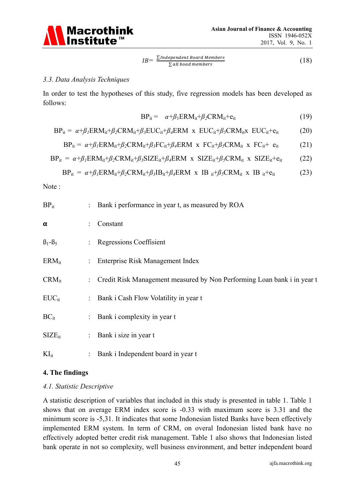

$$
IB = \frac{\sum Independent\ Board\ Members}{\sum all\ bond\ members} \tag{18}
$$

#### *3.3. Data Analysis Techniques*

In order to test the hypotheses of this study, five regression models has been developed as follows:

$$
BP_{it} = \alpha + \beta_1 ERM_{it} + \beta_2 CRM_{it} + e_{it}
$$
 (19)

$$
BP_{it} = \alpha + \beta_1 ERM_{it} + \beta_2 CRM_{it} + \beta_3 EUC_{it} + \beta_4 ERM \times EUC_{it} + \beta_5 CRM_{it} \times EUC_{it} + e_{it}
$$
 (20)

$$
BP_{it} = \alpha + \beta_l ERM_{it} + \beta_2CRM_{it} + \beta_3 FC_{it} + \beta_4 ERM \times FC_{it} + \beta_5CRM_{it} \times FC_{it} + e_{it}
$$
 (21)

$$
BP_{it} = \alpha + \beta_l ERM_{it} + \beta_2CRM_{it} + \beta_3 SIZE_{it} + \beta_4 ERM \times SIZE_{it} + \beta_5CRM_{it} \times SIZE_{it} + e_{it}
$$
 (22)

$$
BP_{it} = \alpha + \beta_I ERM_{it} + \beta_2CRM_{it} + \beta_3 IB_{it} + \beta_4 ERM \times IB_{it} + \beta_5CRM_{it} \times IB_{it} + e_{it}
$$
 (23)

Note :

| $BP_{it}$   |                           | : Bank i performance in year t, as measured by ROA                      |
|-------------|---------------------------|-------------------------------------------------------------------------|
| $\alpha$    | $\ddot{\phantom{a}}$      | Constant                                                                |
| $B_1 - B_5$ |                           | : Regressions Coeffisient                                               |
| $ERM_{it}$  | $\mathbb{Z}^{\mathbb{Z}}$ | Enterprise Risk Management Index                                        |
| $CRM_{it}$  | $\mathbb{Z}^{\mathbb{Z}}$ | Credit Risk Management measured by Non Performing Loan bank i in year t |
| $EUC_{it}$  |                           | : Bank i Cash Flow Volatility in year t                                 |
| $BC_{it}$   | $\mathbb{Z}^{\mathbb{Z}}$ | Bank i complexity in year t                                             |
| $SIZE_{it}$ |                           | : Bank i size in year t                                                 |
| $KI_{it}$   | $\ddot{\phantom{a}}$      | Bank i Independent board in year t                                      |

#### **4. The findings**

#### *4.1. Statistic Descriptive*

A statistic description of variables that included in this study is presented in table 1. Table 1 shows that on average ERM index score is -0.33 with maximum score is 3.31 and the minimum score is -5,31. It indicates that some Indonesian listed Banks have been effectively implemented ERM system. In term of CRM, on overal Indonesian listed bank have no effectively adopted better credit risk management. Table 1 also shows that Indonesian listed bank operate in not so complexity, well business environment, and better independent board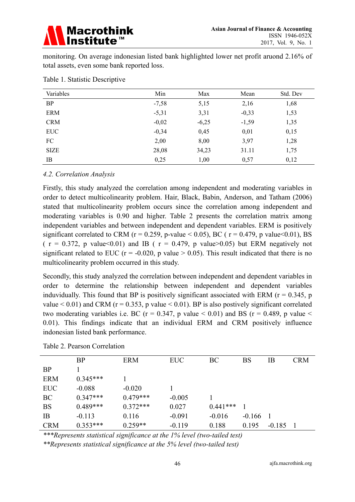

monitoring. On average indonesian listed bank highlighted lower net profit aruond 2.16% of total assets, even some bank reported loss.

| Variables   | Min     | Max     | Mean    | Std. Dev |
|-------------|---------|---------|---------|----------|
| <b>BP</b>   | $-7,58$ | 5,15    | 2,16    | 1,68     |
| <b>ERM</b>  | $-5,31$ | 3,31    | $-0,33$ | 1,53     |
| <b>CRM</b>  | $-0,02$ | $-6,25$ | $-1,59$ | 1,35     |
| <b>EUC</b>  | $-0,34$ | 0,45    | 0,01    | 0,15     |
| FC          | 2,00    | 8,00    | 3,97    | 1,28     |
| <b>SIZE</b> | 28,08   | 34,23   | 31.11   | 1,75     |
| IB          | 0,25    | 1,00    | 0,57    | 0,12     |

Table 1. Statistic Descriptive

#### *4.2. Correlation Analysis*

Firstly, this study analyzed the correlation among independent and moderating variables in order to detect multicolinearity problem. Hair, Black, Babin, Anderson, and Tatham (2006) stated that multicolinearity problem occurs since the correlation among independent and moderating variables is 0.90 and higher. Table 2 presents the correlation matrix among independent variables and between independent and dependent variables. ERM is positively significant correlated to CRM ( $r = 0.259$ , p-value < 0.05), BC ( $r = 0.479$ , p value < 0.01), BS (  $r = 0.372$ , p value  $0.01$ ) and IB (  $r = 0.479$ , p value  $0.05$ ) but ERM negatively not significant related to EUC ( $r = -0.020$ , p value  $> 0.05$ ). This result indicated that there is no multicolinearity problem occurred in this study.

Secondly, this study analyzed the correlation between independent and dependent variables in order to determine the relationship between independent and dependent variables induvidually. This found that BP is positively significant associated with ERM ( $r = 0.345$ , p value  $< 0.01$ ) and CRM ( $r = 0.353$ , p value  $< 0.01$ ). BP is also postively significant correlated two moderating variables i.e. BC ( $r = 0.347$ , p value  $\lt 0.01$ ) and BS ( $r = 0.489$ , p value  $\lt$ 0.01). This findings indicate that an individual ERM and CRM positively influence indonesian listed bank performance.

|            | <b>BP</b>  | <b>ERM</b> | <b>EUC</b> | BC         | <b>BS</b> | IB       | <b>CRM</b> |
|------------|------------|------------|------------|------------|-----------|----------|------------|
| <b>BP</b>  |            |            |            |            |           |          |            |
| <b>ERM</b> | $0.345***$ |            |            |            |           |          |            |
| <b>EUC</b> | $-0.088$   | $-0.020$   |            |            |           |          |            |
| BC         | $0.347***$ | $0.479***$ | $-0.005$   |            |           |          |            |
| <b>BS</b>  | $0.489***$ | $0.372***$ | 0.027      | $0.441***$ |           |          |            |
| IB         | $-0.113$   | 0.116      | $-0.091$   | $-0.016$   | $-0.166$  |          |            |
| <b>CRM</b> | $0.353***$ | $0.259**$  | $-0.119$   | 0.188      | 0.195     | $-0.185$ |            |

Table 2. Pearson Correlation

*\*\*\*Represents statistical significance at the 1% level (two-tailed test)* 

*\*\*Represents statistical significance at the 5% level (two-tailed test)*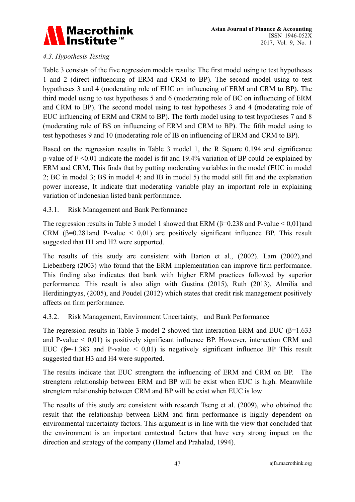

# *4.3. Hypothesis Testing*

Table 3 consists of the five regression models results: The first model using to test hypotheses 1 and 2 (direct influencing of ERM and CRM to BP). The second model using to test hypotheses 3 and 4 (moderating role of EUC on influencing of ERM and CRM to BP). The third model using to test hypotheses 5 and 6 (moderating role of BC on influencing of ERM and CRM to BP). The second model using to test hypotheses 3 and 4 (moderating role of EUC influencing of ERM and CRM to BP). The forth model using to test hypotheses 7 and 8 (moderating role of BS on influencing of ERM and CRM to BP). The fifth model using to test hypotheses 9 and 10 (moderating role of IB on influencing of ERM and CRM to BP).

Based on the regression results in Table 3 model 1, the R Square 0.194 and significance p-value of F <0.01 indicate the model is fit and 19.4% variation of BP could be explained by ERM and CRM, This finds that by putting moderating variables in the model (EUC in model 2; BC in model 3; BS in model 4; and IB in model 5) the model still fitt and the explanation power increase, It indicate that moderating variable play an important role in explaining variation of indonesian listed bank performance.

4.3.1. Risk Management and Bank Performance

The regression results in Table 3 model 1 showed that ERM ( $\beta$ =0.238 and P-value < 0,01)and CRM ( $\beta$ =0.281and P-value < 0,01) are positively significant influence BP. This result suggested that H1 and H2 were supported.

The results of this study are consistent with Barton et al., (2002). Lam (2002),and Liebenberg (2003) who found that the ERM implementation can improve firm performance. This finding also indicates that bank with higher ERM practices followed by superior performance. This result is also align with Gustina (2015), Ruth (2013), Almilia and Herdiningtyas, (2005), and Poudel (2012) which states that credit risk management positively affects on firm performance.

4.3.2. Risk Management, Environment Uncertainty, and Bank Performance

The regression results in Table 3 model 2 showed that interaction ERM and EUC ( $\beta$ =1.633 and P-value  $\leq 0.01$ ) is positively significant influence BP. However, interaction CRM and EUC ( $\beta$ =-1.383 and P-value < 0,01) is negatively significant influence BP This result suggested that H3 and H4 were supported.

The results indicate that EUC strengtern the influencing of ERM and CRM on BP. The strengtern relationship between ERM and BP will be exist when EUC is high. Meanwhile strengtern relationship between CRM and BP will be exist when EUC is low

The results of this study are consistent with research Tseng et al. (2009), who obtained the result that the relationship between ERM and firm performance is highly dependent on environmental uncertainty factors. This argument is in line with the view that concluded that the environment is an important contextual factors that have very strong impact on the direction and strategy of the company (Hamel and Prahalad, 1994).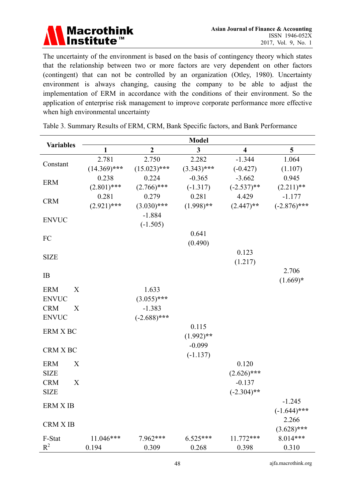

The uncertainty of the environment is based on the basis of contingency theory which states that the relationship between two or more factors are very dependent on other factors (contingent) that can not be controlled by an organization (Otley, 1980). Uncertainty environment is always changing, causing the company to be able to adjust the implementation of ERM in accordance with the conditions of their environment. So the application of enterprise risk management to improve corporate performance more effective when high environmental uncertainty

| <b>Variables</b>               | <b>Model</b>   |                  |               |                         |                |  |  |  |
|--------------------------------|----------------|------------------|---------------|-------------------------|----------------|--|--|--|
|                                | 1              | $\boldsymbol{2}$ | 3             | $\overline{\mathbf{4}}$ | 5              |  |  |  |
| Constant                       | 2.781          | 2.750            | 2.282         | $-1.344$                | 1.064          |  |  |  |
|                                | $(14.369)$ *** | $(15.023)$ ***   | $(3.343)$ *** | $(-0.427)$              | (1.107)        |  |  |  |
| <b>ERM</b>                     | 0.238          | 0.224            | $-0.365$      | $-3.662$                | 0.945          |  |  |  |
|                                | $(2.801)$ ***  | $(2.766)$ ***    | $(-1.317)$    | $(-2.537)$ **           | $(2.211)$ **   |  |  |  |
| <b>CRM</b>                     | 0.281          | 0.279            | 0.281         | 4.429                   | $-1.177$       |  |  |  |
|                                | $(2.921)$ ***  | $(3.030)$ ***    | $(1.998)$ **  | $(2.447)$ **            | $(-2.876)$ *** |  |  |  |
| <b>ENVUC</b>                   |                | $-1.884$         |               |                         |                |  |  |  |
|                                |                | $(-1.505)$       |               |                         |                |  |  |  |
|                                |                |                  | 0.641         |                         |                |  |  |  |
| FC                             |                |                  | (0.490)       |                         |                |  |  |  |
|                                |                |                  |               | 0.123                   |                |  |  |  |
| <b>SIZE</b>                    |                |                  |               | (1.217)                 |                |  |  |  |
| IB                             |                |                  |               |                         | 2.706          |  |  |  |
|                                |                |                  |               |                         | $(1.669)*$     |  |  |  |
| <b>ERM</b><br>X                |                | 1.633            |               |                         |                |  |  |  |
| <b>ENVUC</b>                   |                | $(3.055)$ ***    |               |                         |                |  |  |  |
| <b>CRM</b><br>X                |                | $-1.383$         |               |                         |                |  |  |  |
| <b>ENVUC</b>                   |                | $(-2.688)$ ***   |               |                         |                |  |  |  |
| ERM X BC                       |                |                  | 0.115         |                         |                |  |  |  |
|                                |                |                  | $(1.992)$ **  |                         |                |  |  |  |
| CRM X BC                       |                |                  | $-0.099$      |                         |                |  |  |  |
|                                |                |                  | $(-1.137)$    |                         |                |  |  |  |
| <b>ERM</b><br>X                |                |                  |               | 0.120                   |                |  |  |  |
| <b>SIZE</b>                    |                |                  |               | $(2.626)$ ***           |                |  |  |  |
| <b>CRM</b><br>$\boldsymbol{X}$ |                |                  |               | $-0.137$                |                |  |  |  |
| <b>SIZE</b>                    |                |                  |               | $(-2.304)$ **           |                |  |  |  |
| <b>ERM X IB</b>                |                |                  |               |                         | $-1.245$       |  |  |  |
|                                |                |                  |               |                         | $(-1.644)$ *** |  |  |  |
| <b>CRM X IB</b>                |                |                  |               |                         | 2.266          |  |  |  |
|                                |                |                  |               |                         | $(3.628)$ ***  |  |  |  |
| F-Stat                         | 11.046***      | 7.962***         | $6.525***$    | 11.772***               | 8.014***       |  |  |  |
| $R^2$                          | 0.194          | 0.309            | 0.268         | 0.398                   | 0.310          |  |  |  |

Table 3. Summary Results of ERM, CRM, Bank Specific factors, and Bank Performance

48 ajfa.macrothink.org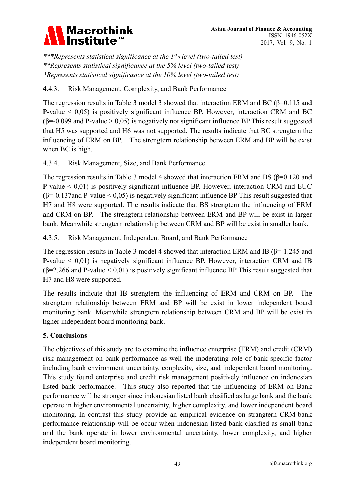

*\*\*\*Represents statistical significance at the 1% level (two-tailed test) \*\*Represents statistical significance at the 5% level (two-tailed test) \*Represents statistical significance at the 10% level (two-tailed test)*

# 4.4.3. Risk Management, Complexity, and Bank Performance

The regression results in Table 3 model 3 showed that interaction ERM and BC (β=0.115 and P-value  $\leq 0.05$ ) is positively significant influence BP. However, interaction CRM and BC  $(\beta = 0.099$  and P-value  $> 0.05$ ) is negatively not significant influence BP This result suggested that H5 was supported and H6 was not supported. The results indicate that BC strengtern the influencing of ERM on BP. The strengtern relationship between ERM and BP will be exist when BC is high.

## 4.3.4. Risk Management, Size, and Bank Performance

The regression results in Table 3 model 4 showed that interaction ERM and BS ( $\beta$ =0.120 and P-value  $\leq 0.01$ ) is positively significant influence BP. However, interaction CRM and EUC (β=-0.137and P-value < 0,05) is negatively significant influence BP This result suggested that H7 and H8 were supported. The results indicate that BS strengtern the influencing of ERM and CRM on BP. The strengtern relationship between ERM and BP will be exist in larger bank. Meanwhile strengtern relationship between CRM and BP will be exist in smaller bank.

4.3.5. Risk Management, Independent Board, and Bank Performance

The regression results in Table 3 model 4 showed that interaction ERM and IB (β=-1.245 and P-value < 0,01) is negatively significant influence BP. However, interaction CRM and IB  $(\beta=2.266$  and P-value < 0,01) is positively significant influence BP This result suggested that H7 and H8 were supported.

The results indicate that IB strengtern the influencing of ERM and CRM on BP. The strengtern relationship between ERM and BP will be exist in lower independent board monitoring bank. Meanwhile strengtern relationship between CRM and BP will be exist in hgher independent board monitoring bank.

# **5. Conclusions**

The objectives of this study are to examine the influence enterprise (ERM) and credit (CRM) risk management on bank performance as well the moderating role of bank specific factor including bank environment uncertainty, conplexity, size, and independent board monitoring. This study found enterprise and credit risk management positively influence on indonesian listed bank performance. This study also reported that the influencing of ERM on Bank performance will be stronger since indonesian listed bank clasified as large bank and the bank operate in higher environmental uncertainty, higher complexity, and lower independent board monitoring. In contrast this study provide an empirical evidence on strangtern CRM-bank performance relationship will be occur when indonesian listed bank clasified as small bank and the bank operate in lower environmental uncertainty, lower complexity, and higher independent board monitoring.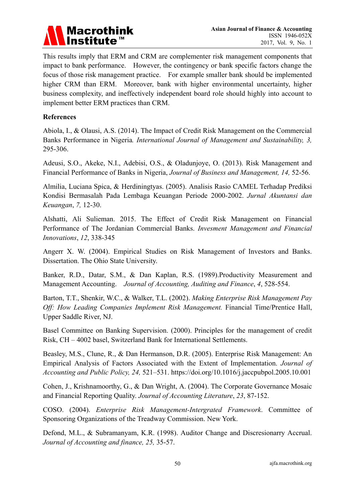

This results imply that ERM and CRM are complementer risk management components that impact to bank performance. However, the contingency or bank specific factors change the focus of those risk management practice. For example smaller bank should be implemented higher CRM than ERM. Moreover, bank with higher environmental uncertainty, higher business complexity, and ineffectively independent board role should highly into account to implement better ERM practices than CRM.

#### **References**

Abiola, I., & Olausi, A.S. (2014). The Impact of Credit Risk Management on the Commercial Banks Performance in Nigeria*. International Journal of Management and Sustainability, 3,*  295-306.

Adeusi, S.O., Akeke, N.I., Adebisi, O.S., & Oladunjoye, O. (2013). Risk Management and Financial Performance of Banks in Nigeria, *Journal of Business and Management, 14,* 52-56.

Almilia, Luciana Spica, & Herdiningtyas. (2005). Analisis Rasio CAMEL Terhadap Prediksi Kondisi Bermasalah Pada Lembaga Keuangan Periode 2000-2002. *Jurnal Akuntansi dan Keuangan*, *7,* 12-30.

Alshatti, Ali Sulieman. 2015. The Effect of Credit Risk Management on Financial Performance of The Jordanian Commercial Banks. *Invesment Management and Financial Innovations*, *12*, 338-345

Angerr X. W. (2004). Empirical Studies on Risk Management of Investors and Banks. Dissertation. The Ohio State University.

Banker, R.D., Datar, S.M., & Dan Kaplan, R.S. (1989).Productivity Measurement and Management Accounting. *Journal of Accounting, Auditing and Finance*, *4*, 528-554.

Barton, T.T., Shenkir, W.C., & Walker, T.L. (2002). *Making Enterprise Risk Management Pay Off: How Leading Companies Implement Risk Management.* Financial Time/Prentice Hall, Upper Saddle River, NJ.

Basel Committee on Banking Supervision. (2000). Principles for the management of credit Risk, CH – 4002 basel, Switzerland Bank for International Settlements.

Beasley, M.S., Clune, R., & Dan Hermanson, D.R. (2005). Enterprise Risk Management: An Empirical Analysis of Factors Associated with the Extent of Implementation. *Journal of Accounting and Public Policy, 24,* 521–531. https://doi.org/10.1016/j.jaccpubpol.2005.10.001

Cohen, J., Krishnamoorthy, G., & Dan Wright, A. (2004). The Corporate Governance Mosaic and Financial Reporting Quality. *Journal of Accounting Literature*, *23*, 87-152.

COSO. (2004). *Enterprise Risk Management-Intergrated Framework*. Committee of Sponsoring Organizations of the Treadway Commission. New York.

Defond, M.L., & Subramanyam, K.R. (1998). Auditor Change and Discresionarry Accrual. *Journal of Accounting and finance, 25,* 35-57.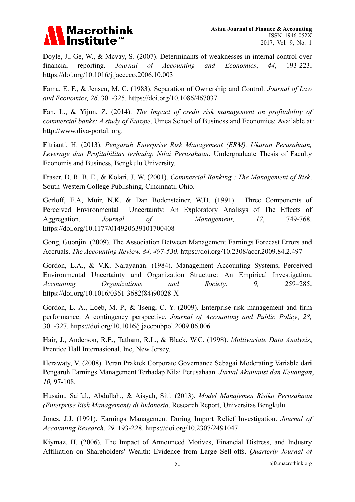

Doyle, J., Ge, W., & Mcvay, S. (2007). Determinants of weaknesses in internal control over financial reporting. *Journal of Accounting and Economics*, *44*, 193-223. https://doi.org/10.1016/j.jacceco.2006.10.003

Fama, E. F., & Jensen, M. C. (1983). Separation of Ownership and Control. *Journal of Law and Economics, 26,* 301-325. https://doi.org/10.1086/467037

Fan, L., & Yijun, Z. (2014). *The Impact of credit risk management on profitability of commercial banks: A study of Europe*, Umea School of Business and Economics: Available at: http://www.diva-portal. org.

Fitrianti, H. (2013). *Pengaruh Enterprise Risk Management (ERM), Ukuran Perusahaan, Leverage dan Profitabilitas terhadap Nilai Perusahaan*. Undergraduate Thesis of Faculty Economis and Business, Bengkulu University.

Fraser, D. R. B. E., & Kolari, J. W. (2001). *Commercial Banking : The Management of Risk*. South-Western College Publishing, Cincinnati, Ohio.

Gerloff, E.A, Muir, N.K, & Dan Bodensteiner, W.D. (1991). Three Components of Perceived Environmental Uncertainty: An Exploratory Analisys of The Effects of Aggregation. *Journal of Management*, *17*, 749-768. https://doi.org/10.1177/014920639101700408

Gong, Guonjin. (2009). The Association Between Management Earnings Forecast Errors and Accruals. *The Accounting Review, 84, 497-530*. https://doi.org/10.2308/accr.2009.84.2.497

Gordon, L.A., & V.K. Narayanan. (1984). Management Accounting Systems, Perceived Environmental Uncertainty and Organization Structure: An Empirical Investigation. *Accounting Organizations and Society*, *9,* 259–285. https://doi.org/10.1016/0361-3682(84)90028-X

Gordon, L. A., Loeb, M. P., & Tseng, C. Y. (2009). Enterprise risk management and firm performance: A contingency perspective. *Journal of Accounting and Public Policy*, *28,*  301-327. https://doi.org/10.1016/j.jaccpubpol.2009.06.006

Hair, J., Anderson, R.E., Tatham, R.L., & Black, W.C. (1998). *Multivariate Data Analysis*, Prentice Hall Internasional. Inc, New Jersey.

Herawaty, V. (2008). Peran Praktek Corporate Governance Sebagai Moderating Variable dari Pengaruh Earnings Management Terhadap Nilai Perusahaan. *Jurnal Akuntansi dan Keuangan*, *10,* 97-108.

Husain., Saiful., Abdullah., & Aisyah, Siti. (2013). *Model Manajemen Risiko Perusahaan (Enterprise Risk Management) di Indonesia*. Research Report, Universitas Bengkulu.

Jones, J.J. (1991). Earnings Management During Import Relief Investigation. *Journal of Accounting Research*, *29,* 193-228. https://doi.org/10.2307/2491047

Kiymaz, H. (2006). The Impact of Announced Motives, Financial Distress, and Industry Affiliation on Shareholders' Wealth: Evidence from Large Sell-offs. *Quarterly Journal of*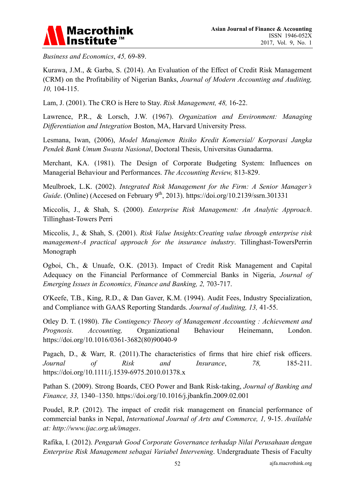

*Business and Economics*, *45,* 69-89.

Kurawa, J.M., & Garba, S. (2014). An Evaluation of the Effect of Credit Risk Management (CRM) on the Profitability of Nigerian Banks, *Journal of Modern Accounting and Auditing, 10,* 104-115.

Lam, J. (2001). The CRO is Here to Stay. *Risk Management, 48,* 16-22.

Lawrence, P.R., & Lorsch, J.W. (1967). *Organization and Environment: Managing Differentiation and Integration* Boston, MA, Harvard University Press.

Lesmana, Iwan, (2006), *Model Manajemen Risiko Kredit Komersial/ Korporasi Jangka Pendek Bank Umum Swasta Nasional*, Doctoral Thesis, Universitas Gunadarma.

Merchant, KA. (1981). The Design of Corporate Budgeting System: Influences on Managerial Behaviour and Performances. *The Accounting Review,* 813-829.

Meulbroek, L.K. (2002). *Integrated Risk Management for the Firm: A Senior Manager's Guide*. (Online) (Accesed on February 9<sup>th</sup>, 2013). https://doi.org/10.2139/ssrn.301331

Miccolis, J., & Shah, S. (2000). *Enterprise Risk Management: An Analytic Approach*. Tillinghast-Towers Perri

Miccolis, J., & Shah, S. (2001). *Risk Value Insights:Creating value through enterprise risk management-A practical approach for the insurance industry*. Tillinghast-TowersPerrin Monograph

Ogboi, Ch., & Unuafe, O.K. (2013). Impact of Credit Risk Management and Capital Adequacy on the Financial Performance of Commercial Banks in Nigeria, *Journal of Emerging Issues in Economics, Finance and Banking, 2,* 703-717.

O'Keefe, T.B., King, R.D., & Dan Gaver, K.M. (1994). Audit Fees, Industry Specialization, and Compliance with GAAS Reporting Standards. *Journal of Auditing, 13,* 41-55.

Otley D. T. (1980). *The Contingency Theory of Management Accounting : Achievement and Prognosis. Accounting,* Organizational Behaviour Heinemann, London. https://doi.org/10.1016/0361-3682(80)90040-9

Pagach, D., & Warr, R. (2011).The characteristics of firms that hire chief risk officers. *Journal of Risk and Insurance*, *78,* 185-211. https://doi.org/10.1111/j.1539-6975.2010.01378.x

Pathan S. (2009). Strong Boards, CEO Power and Bank Risk-taking, *Journal of Banking and Finance, 33,* 1340–1350. https://doi.org/10.1016/j.jbankfin.2009.02.001

Poudel, R.P. (2012). The impact of credit risk management on financial performance of commercial banks in Nepal, *International Journal of Arts and Commerce, 1,* 9-15. *Available at: http://www.ijac.org.uk/images*.

Rafika, I. (2012). *Pengaruh Good Corporate Governance terhadap Nilai Perusahaan dengan Enterprise Risk Management sebagai Variabel Intervening*. Undergraduate Thesis of Faculty